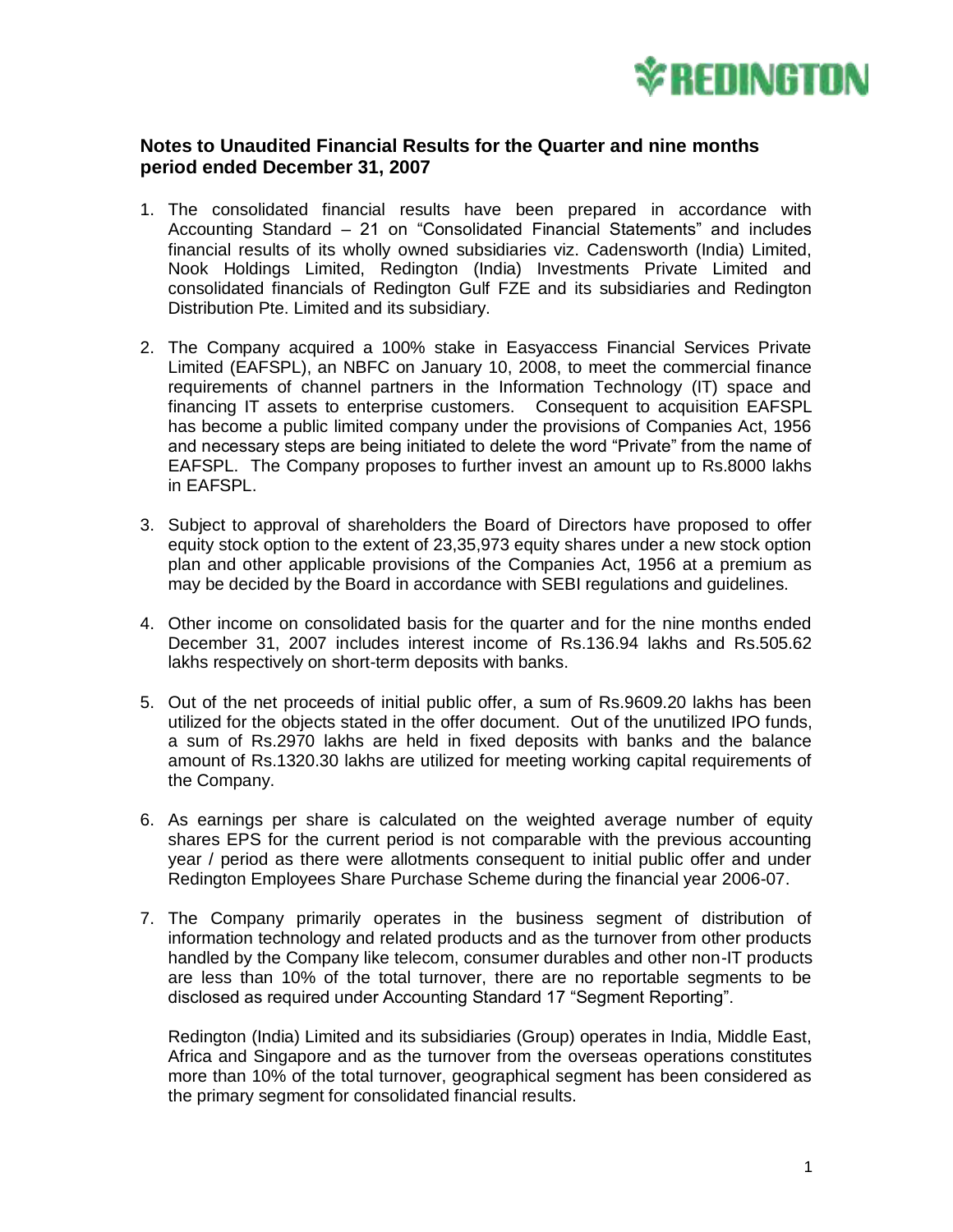

## **Notes to Unaudited Financial Results for the Quarter and nine months period ended December 31, 2007**

- 1. The consolidated financial results have been prepared in accordance with Accounting Standard – 21 on "Consolidated Financial Statements" and includes financial results of its wholly owned subsidiaries viz. Cadensworth (India) Limited, Nook Holdings Limited, Redington (India) Investments Private Limited and consolidated financials of Redington Gulf FZE and its subsidiaries and Redington Distribution Pte. Limited and its subsidiary.
- 2. The Company acquired a 100% stake in Easyaccess Financial Services Private Limited (EAFSPL), an NBFC on January 10, 2008, to meet the commercial finance requirements of channel partners in the Information Technology (IT) space and financing IT assets to enterprise customers. Consequent to acquisition EAFSPL has become a public limited company under the provisions of Companies Act, 1956 and necessary steps are being initiated to delete the word "Private" from the name of EAFSPL. The Company proposes to further invest an amount up to Rs.8000 lakhs in EAFSPL.
- 3. Subject to approval of shareholders the Board of Directors have proposed to offer equity stock option to the extent of 23,35,973 equity shares under a new stock option plan and other applicable provisions of the Companies Act, 1956 at a premium as may be decided by the Board in accordance with SEBI regulations and guidelines.
- 4. Other income on consolidated basis for the quarter and for the nine months ended December 31, 2007 includes interest income of Rs.136.94 lakhs and Rs.505.62 lakhs respectively on short-term deposits with banks.
- 5. Out of the net proceeds of initial public offer, a sum of Rs.9609.20 lakhs has been utilized for the objects stated in the offer document. Out of the unutilized IPO funds, a sum of Rs.2970 lakhs are held in fixed deposits with banks and the balance amount of Rs.1320.30 lakhs are utilized for meeting working capital requirements of the Company.
- 6. As earnings per share is calculated on the weighted average number of equity shares EPS for the current period is not comparable with the previous accounting year / period as there were allotments consequent to initial public offer and under Redington Employees Share Purchase Scheme during the financial year 2006-07.
- 7. The Company primarily operates in the business segment of distribution of information technology and related products and as the turnover from other products handled by the Company like telecom, consumer durables and other non-IT products are less than 10% of the total turnover, there are no reportable segments to be disclosed as required under Accounting Standard 17 "Segment Reporting".

Redington (India) Limited and its subsidiaries (Group) operates in India, Middle East, Africa and Singapore and as the turnover from the overseas operations constitutes more than 10% of the total turnover, geographical segment has been considered as the primary segment for consolidated financial results.